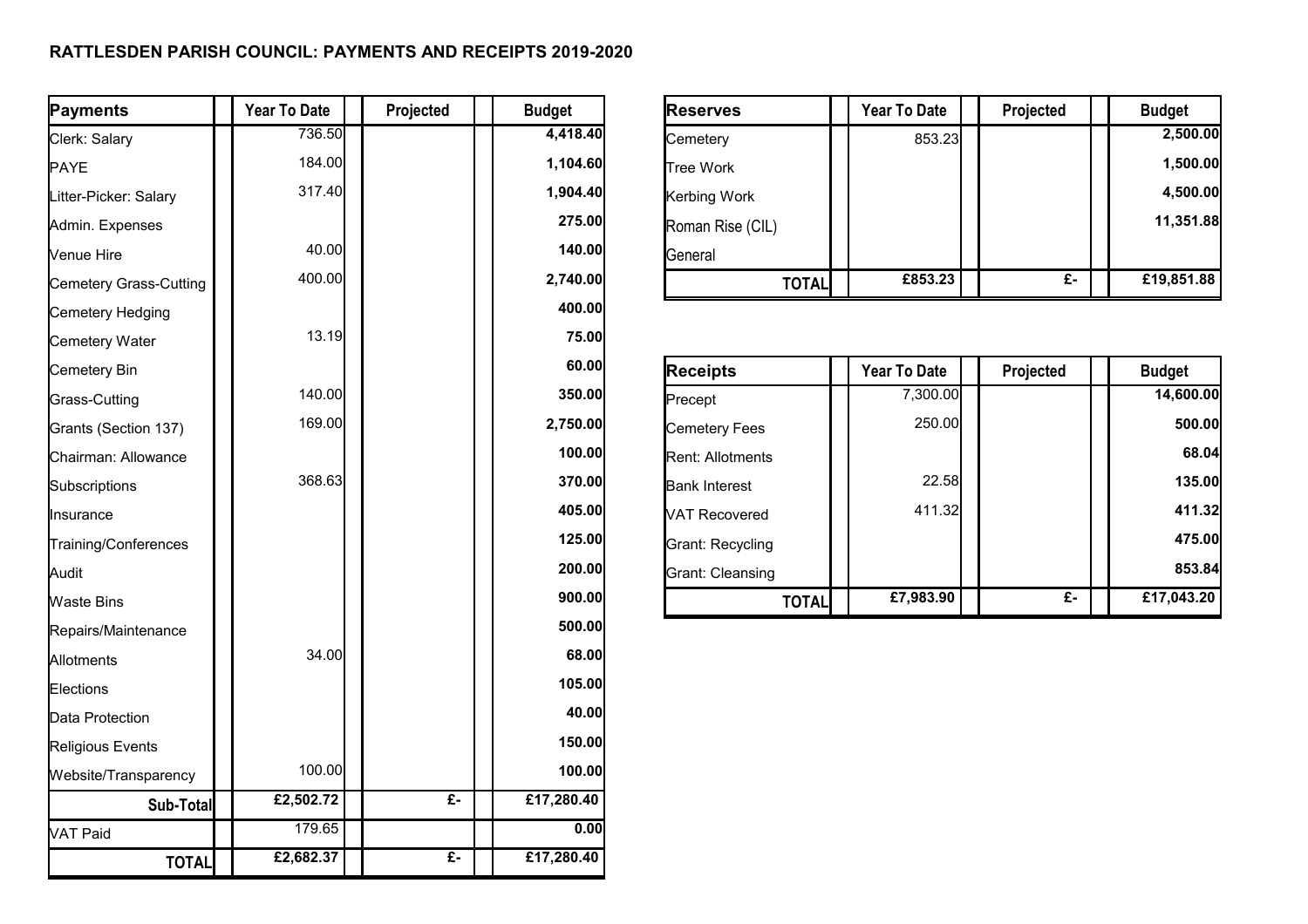## **RATTLESDEN PARISH COUNCIL: PAYMENTS AND RECEIPTS 2019-2020**

| Payments               | Year To Date | Projected        | <b>Budget</b>     | <b>Reserves</b>         | Year To Date | Projected        | <b>Budget</b> |
|------------------------|--------------|------------------|-------------------|-------------------------|--------------|------------------|---------------|
| Clerk: Salary          | 736.50       |                  | 4,418.40          | Cemetery                | 853.23       |                  | 2,500.00      |
| <b>PAYE</b>            | 184.00       |                  | 1,104.60          | <b>Tree Work</b>        |              |                  | 1,500.00      |
| Litter-Picker: Salary  | 317.40       |                  | 1,904.40          | Kerbing Work            |              |                  | 4,500.00      |
| Admin. Expenses        |              |                  | 275.00            | Roman Rise (CIL)        |              |                  | 11,351.88     |
| Venue Hire             | 40.00        |                  | 140.00            | General                 |              |                  |               |
| Cemetery Grass-Cutting | 400.00       |                  | 2,740.00          | <b>TOTAL</b>            | £853.23      | $E -$            | £19,851.88    |
| Cemetery Hedging       |              |                  | 400.00            |                         |              |                  |               |
| Cemetery Water         | 13.19        |                  | 75.00             |                         |              |                  |               |
| Cemetery Bin           |              |                  | 60.00             | <b>Receipts</b>         | Year To Date | Projected        | <b>Budget</b> |
| Grass-Cutting          | 140.00       |                  | 350.00            | Precept                 | 7,300.00     |                  | 14,600.00     |
| Grants (Section 137)   | 169.00       |                  | 2,750.00          | <b>Cemetery Fees</b>    | 250.00       |                  | 500.00        |
| Chairman: Allowance    |              |                  | 100.00            | <b>Rent: Allotments</b> |              |                  | 68.04         |
| Subscriptions          | 368.63       |                  | 370.00            | <b>Bank Interest</b>    | 22.58        |                  | 135.00        |
| Insurance              |              |                  | 405.00            | <b>VAT Recovered</b>    | 411.32       |                  | 411.32        |
| Training/Conferences   |              |                  | 125.00            | <b>Grant: Recycling</b> |              |                  | 475.00        |
| Audit                  |              |                  | 200.00            | Grant: Cleansing        |              |                  | 853.84        |
| Waste Bins             |              |                  | 900.00            | <b>TOTAL</b>            | £7,983.90    | $\overline{f}$ . | £17,043.20    |
| Repairs/Maintenance    |              |                  | 500.00            |                         |              |                  |               |
| Allotments             | 34.00        |                  | 68.00             |                         |              |                  |               |
| Elections              |              |                  | 105.00            |                         |              |                  |               |
| Data Protection        |              |                  | 40.00             |                         |              |                  |               |
| Religious Events       |              |                  | 150.00            |                         |              |                  |               |
| Website/Transparency   | 100.00       |                  | 100.00            |                         |              |                  |               |
| Sub-Total              | £2,502.72    | $\overline{f}$ . | £17,280.40        |                         |              |                  |               |
| VAT Paid               | 179.65       |                  | $\overline{0.00}$ |                         |              |                  |               |
| <b>TOTAL</b>           | £2,682.37    | $E -$            | £17,280.40        |                         |              |                  |               |

| <b>Reserves</b>  | <b>Year To Date</b> | Projected | <b>Budget</b> |
|------------------|---------------------|-----------|---------------|
| Cemetery         | 853.23              |           | 2,500.00      |
| <b>Tree Work</b> |                     |           | 1,500.00      |
| Kerbing Work     |                     |           | 4,500.00      |
| Roman Rise (CIL) |                     |           | 11,351.88     |
| <b>General</b>   |                     |           |               |
| <b>TOTAL</b>     | £853.23             | £-        | £19,851.88    |

| <b>Receipts</b>      | Year To Date | Projected | <b>Budget</b> |
|----------------------|--------------|-----------|---------------|
| Precept              | 7,300.00     |           | 14,600.00     |
| <b>Cemetery Fees</b> | 250.00       |           | 500.00        |
| Rent: Allotments     |              |           | 68.04         |
| <b>Bank Interest</b> | 22.58        |           | 135.00        |
| <b>VAT Recovered</b> | 411.32       |           | 411.32        |
| Grant: Recycling     |              |           | 475.00        |
| Grant: Cleansing     |              |           | 853.84        |
| TOTAL                | £7,983.90    | £-        | £17,043.20    |